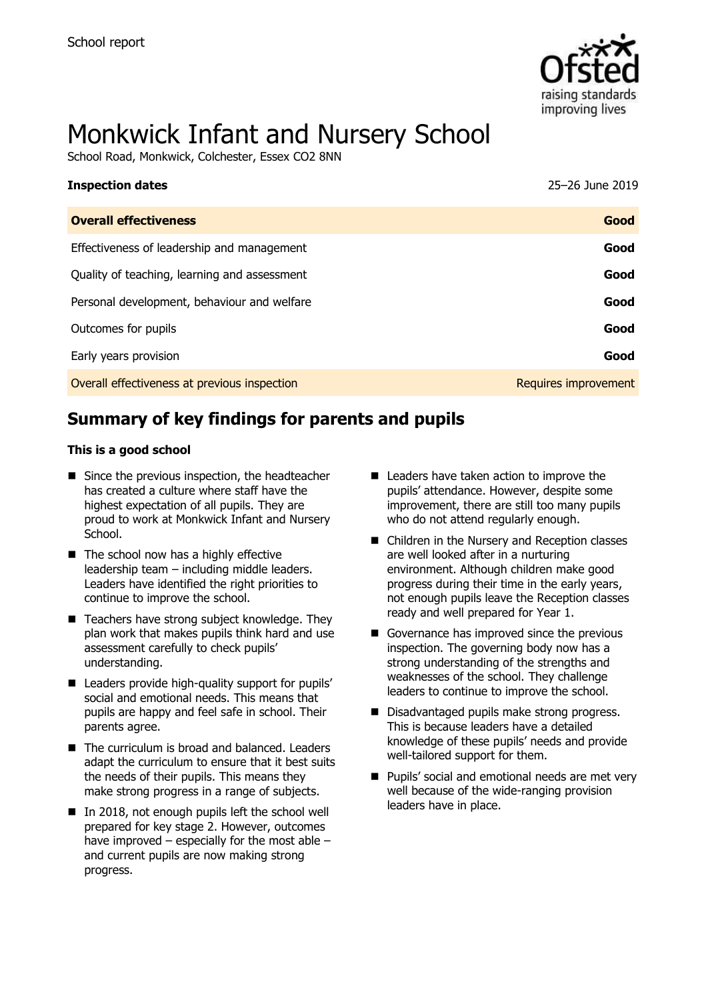

# Monkwick Infant and Nursery School

School Road, Monkwick, Colchester, Essex CO2 8NN

| <b>Inspection dates</b>                      | 25-26 June 2019      |
|----------------------------------------------|----------------------|
| <b>Overall effectiveness</b>                 | Good                 |
| Effectiveness of leadership and management   | Good                 |
| Quality of teaching, learning and assessment | Good                 |
| Personal development, behaviour and welfare  | Good                 |
| Outcomes for pupils                          | Good                 |
| Early years provision                        | Good                 |
| Overall effectiveness at previous inspection | Requires improvement |

# **Summary of key findings for parents and pupils**

#### **This is a good school**

- Since the previous inspection, the headteacher has created a culture where staff have the highest expectation of all pupils. They are proud to work at Monkwick Infant and Nursery School.
- The school now has a highly effective leadership team – including middle leaders. Leaders have identified the right priorities to continue to improve the school.
- Teachers have strong subject knowledge. They plan work that makes pupils think hard and use assessment carefully to check pupils' understanding.
- Leaders provide high-quality support for pupils' social and emotional needs. This means that pupils are happy and feel safe in school. Their parents agree.
- The curriculum is broad and balanced. Leaders adapt the curriculum to ensure that it best suits the needs of their pupils. This means they make strong progress in a range of subjects.
- In 2018, not enough pupils left the school well prepared for key stage 2. However, outcomes have improved – especially for the most able – and current pupils are now making strong progress.
- Leaders have taken action to improve the pupils' attendance. However, despite some improvement, there are still too many pupils who do not attend regularly enough.
- Children in the Nursery and Reception classes are well looked after in a nurturing environment. Although children make good progress during their time in the early years, not enough pupils leave the Reception classes ready and well prepared for Year 1.
- Governance has improved since the previous inspection. The governing body now has a strong understanding of the strengths and weaknesses of the school. They challenge leaders to continue to improve the school.
- Disadvantaged pupils make strong progress. This is because leaders have a detailed knowledge of these pupils' needs and provide well-tailored support for them.
- Pupils' social and emotional needs are met very well because of the wide-ranging provision leaders have in place.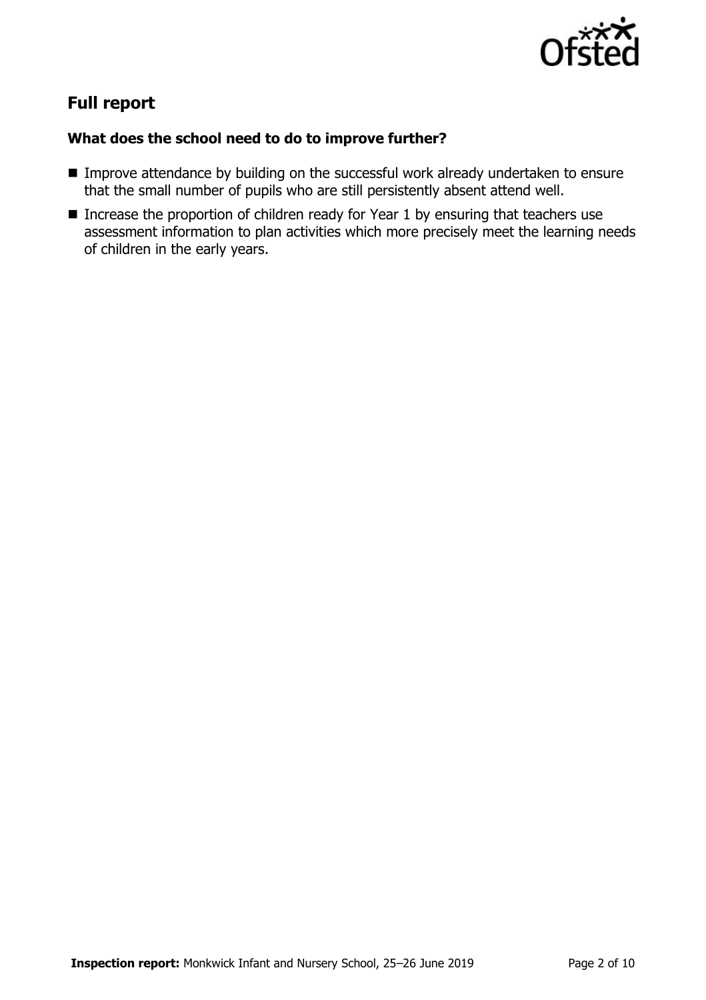

# **Full report**

#### **What does the school need to do to improve further?**

- Improve attendance by building on the successful work already undertaken to ensure that the small number of pupils who are still persistently absent attend well.
- Increase the proportion of children ready for Year 1 by ensuring that teachers use assessment information to plan activities which more precisely meet the learning needs of children in the early years.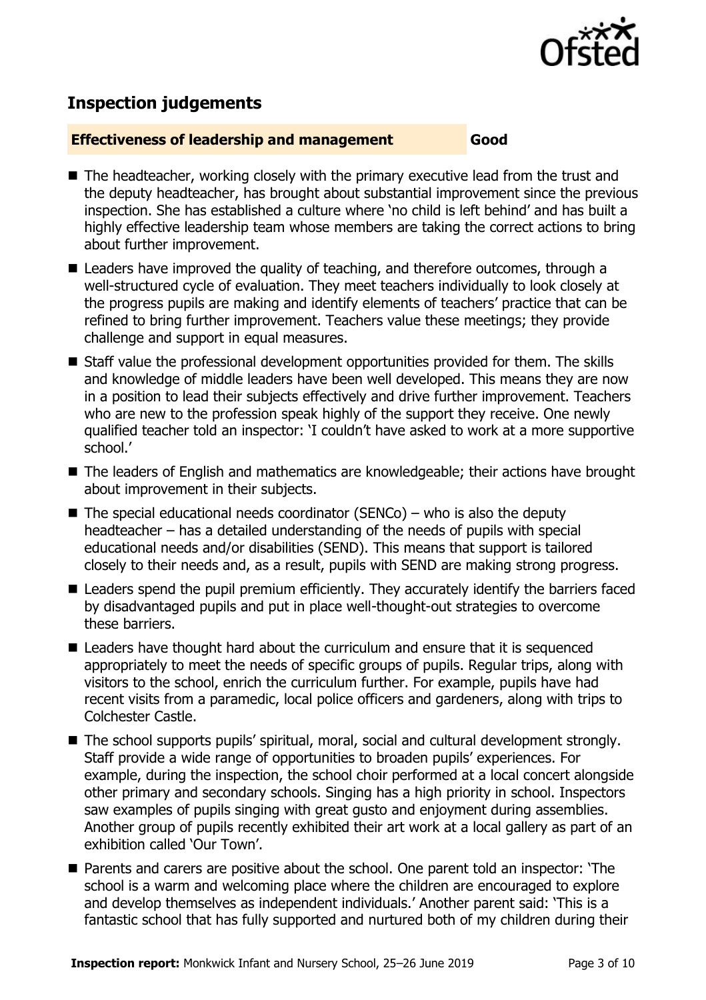

# **Inspection judgements**

#### **Effectiveness of leadership and management Good**

- The headteacher, working closely with the primary executive lead from the trust and the deputy headteacher, has brought about substantial improvement since the previous inspection. She has established a culture where 'no child is left behind' and has built a highly effective leadership team whose members are taking the correct actions to bring about further improvement.
- Leaders have improved the quality of teaching, and therefore outcomes, through a well-structured cycle of evaluation. They meet teachers individually to look closely at the progress pupils are making and identify elements of teachers' practice that can be refined to bring further improvement. Teachers value these meetings; they provide challenge and support in equal measures.
- Staff value the professional development opportunities provided for them. The skills and knowledge of middle leaders have been well developed. This means they are now in a position to lead their subjects effectively and drive further improvement. Teachers who are new to the profession speak highly of the support they receive. One newly qualified teacher told an inspector: 'I couldn't have asked to work at a more supportive school.'
- The leaders of English and mathematics are knowledgeable; their actions have brought about improvement in their subjects.
- $\blacksquare$  The special educational needs coordinator (SENCo) who is also the deputy headteacher – has a detailed understanding of the needs of pupils with special educational needs and/or disabilities (SEND). This means that support is tailored closely to their needs and, as a result, pupils with SEND are making strong progress.
- Leaders spend the pupil premium efficiently. They accurately identify the barriers faced by disadvantaged pupils and put in place well-thought-out strategies to overcome these barriers.
- Leaders have thought hard about the curriculum and ensure that it is sequenced appropriately to meet the needs of specific groups of pupils. Regular trips, along with visitors to the school, enrich the curriculum further. For example, pupils have had recent visits from a paramedic, local police officers and gardeners, along with trips to Colchester Castle.
- The school supports pupils' spiritual, moral, social and cultural development strongly. Staff provide a wide range of opportunities to broaden pupils' experiences. For example, during the inspection, the school choir performed at a local concert alongside other primary and secondary schools. Singing has a high priority in school. Inspectors saw examples of pupils singing with great gusto and enjoyment during assemblies. Another group of pupils recently exhibited their art work at a local gallery as part of an exhibition called 'Our Town'.
- Parents and carers are positive about the school. One parent told an inspector: 'The school is a warm and welcoming place where the children are encouraged to explore and develop themselves as independent individuals.' Another parent said: 'This is a fantastic school that has fully supported and nurtured both of my children during their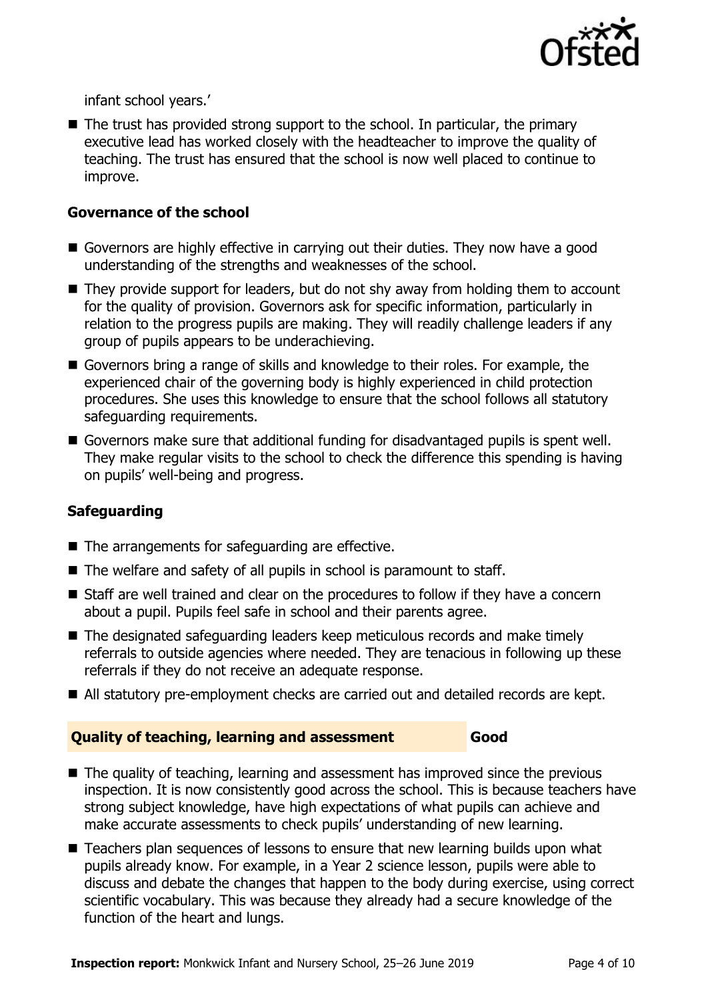

infant school years.'

 $\blacksquare$  The trust has provided strong support to the school. In particular, the primary executive lead has worked closely with the headteacher to improve the quality of teaching. The trust has ensured that the school is now well placed to continue to improve.

#### **Governance of the school**

- Governors are highly effective in carrying out their duties. They now have a good understanding of the strengths and weaknesses of the school.
- They provide support for leaders, but do not shy away from holding them to account for the quality of provision. Governors ask for specific information, particularly in relation to the progress pupils are making. They will readily challenge leaders if any group of pupils appears to be underachieving.
- Governors bring a range of skills and knowledge to their roles. For example, the experienced chair of the governing body is highly experienced in child protection procedures. She uses this knowledge to ensure that the school follows all statutory safeguarding requirements.
- Governors make sure that additional funding for disadvantaged pupils is spent well. They make regular visits to the school to check the difference this spending is having on pupils' well-being and progress.

#### **Safeguarding**

- The arrangements for safeguarding are effective.
- The welfare and safety of all pupils in school is paramount to staff.
- Staff are well trained and clear on the procedures to follow if they have a concern about a pupil. Pupils feel safe in school and their parents agree.
- The designated safeguarding leaders keep meticulous records and make timely referrals to outside agencies where needed. They are tenacious in following up these referrals if they do not receive an adequate response.
- All statutory pre-employment checks are carried out and detailed records are kept.

### **Quality of teaching, learning and assessment Good**

- The quality of teaching, learning and assessment has improved since the previous inspection. It is now consistently good across the school. This is because teachers have strong subject knowledge, have high expectations of what pupils can achieve and make accurate assessments to check pupils' understanding of new learning.
- Teachers plan sequences of lessons to ensure that new learning builds upon what pupils already know. For example, in a Year 2 science lesson, pupils were able to discuss and debate the changes that happen to the body during exercise, using correct scientific vocabulary. This was because they already had a secure knowledge of the function of the heart and lungs.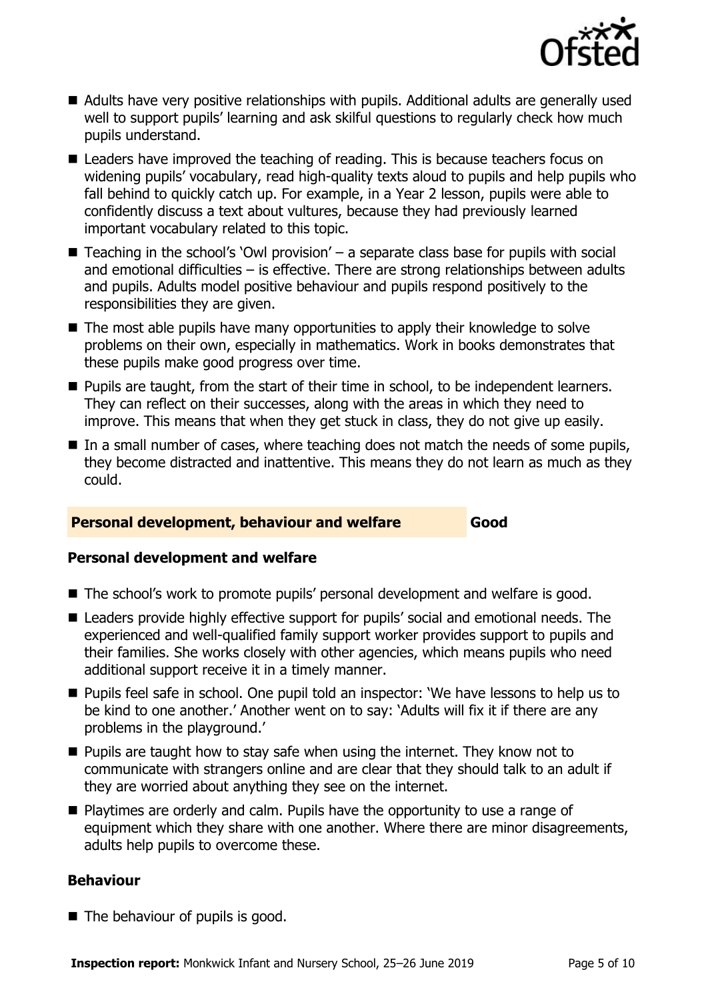

- Adults have very positive relationships with pupils. Additional adults are generally used well to support pupils' learning and ask skilful questions to regularly check how much pupils understand.
- Leaders have improved the teaching of reading. This is because teachers focus on widening pupils' vocabulary, read high-quality texts aloud to pupils and help pupils who fall behind to quickly catch up. For example, in a Year 2 lesson, pupils were able to confidently discuss a text about vultures, because they had previously learned important vocabulary related to this topic.
- $\blacksquare$  Teaching in the school's `Owl provision' a separate class base for pupils with social and emotional difficulties – is effective. There are strong relationships between adults and pupils. Adults model positive behaviour and pupils respond positively to the responsibilities they are given.
- The most able pupils have many opportunities to apply their knowledge to solve problems on their own, especially in mathematics. Work in books demonstrates that these pupils make good progress over time.
- Pupils are taught, from the start of their time in school, to be independent learners. They can reflect on their successes, along with the areas in which they need to improve. This means that when they get stuck in class, they do not give up easily.
- In a small number of cases, where teaching does not match the needs of some pupils, they become distracted and inattentive. This means they do not learn as much as they could.

#### **Personal development, behaviour and welfare Good**

#### **Personal development and welfare**

- The school's work to promote pupils' personal development and welfare is good.
- Leaders provide highly effective support for pupils' social and emotional needs. The experienced and well-qualified family support worker provides support to pupils and their families. She works closely with other agencies, which means pupils who need additional support receive it in a timely manner.
- Pupils feel safe in school. One pupil told an inspector: 'We have lessons to help us to be kind to one another.' Another went on to say: 'Adults will fix it if there are any problems in the playground.'
- Pupils are taught how to stay safe when using the internet. They know not to communicate with strangers online and are clear that they should talk to an adult if they are worried about anything they see on the internet.
- Playtimes are orderly and calm. Pupils have the opportunity to use a range of equipment which they share with one another. Where there are minor disagreements, adults help pupils to overcome these.

#### **Behaviour**

■ The behaviour of pupils is good.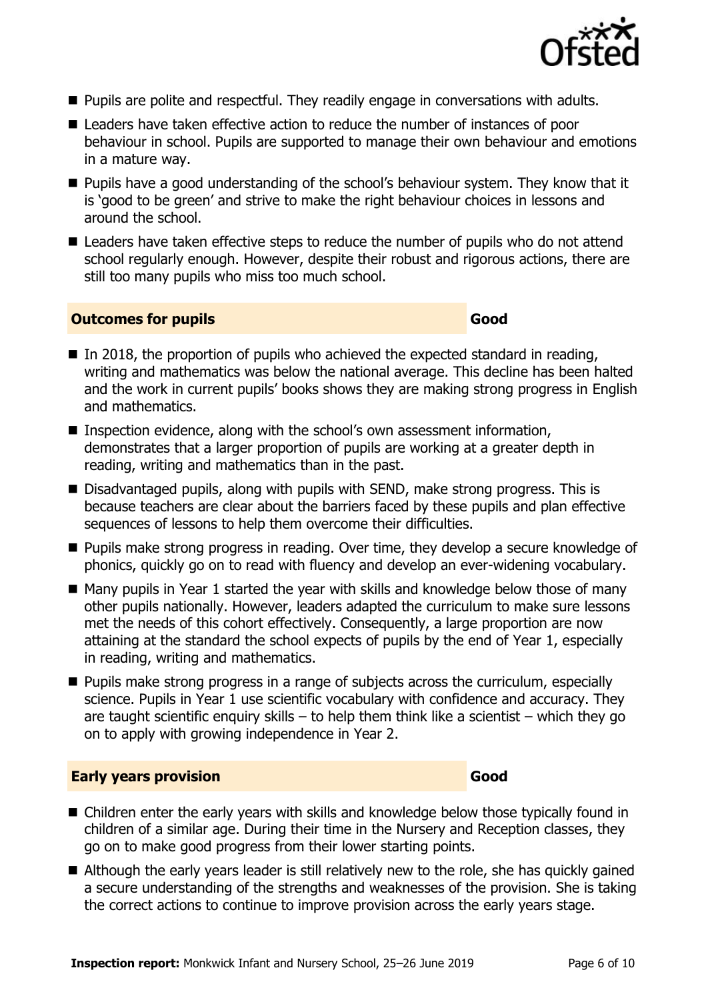

- Pupils are polite and respectful. They readily engage in conversations with adults.
- Leaders have taken effective action to reduce the number of instances of poor behaviour in school. Pupils are supported to manage their own behaviour and emotions in a mature way.
- Pupils have a good understanding of the school's behaviour system. They know that it is 'good to be green' and strive to make the right behaviour choices in lessons and around the school.
- Leaders have taken effective steps to reduce the number of pupils who do not attend school regularly enough. However, despite their robust and rigorous actions, there are still too many pupils who miss too much school.

#### **Outcomes for pupils Good**

- $\blacksquare$  In 2018, the proportion of pupils who achieved the expected standard in reading, writing and mathematics was below the national average. This decline has been halted and the work in current pupils' books shows they are making strong progress in English and mathematics.
- Inspection evidence, along with the school's own assessment information, demonstrates that a larger proportion of pupils are working at a greater depth in reading, writing and mathematics than in the past.
- Disadvantaged pupils, along with pupils with SEND, make strong progress. This is because teachers are clear about the barriers faced by these pupils and plan effective sequences of lessons to help them overcome their difficulties.
- Pupils make strong progress in reading. Over time, they develop a secure knowledge of phonics, quickly go on to read with fluency and develop an ever-widening vocabulary.
- Many pupils in Year 1 started the year with skills and knowledge below those of many other pupils nationally. However, leaders adapted the curriculum to make sure lessons met the needs of this cohort effectively. Consequently, a large proportion are now attaining at the standard the school expects of pupils by the end of Year 1, especially in reading, writing and mathematics.
- Pupils make strong progress in a range of subjects across the curriculum, especially science. Pupils in Year 1 use scientific vocabulary with confidence and accuracy. They are taught scientific enquiry skills – to help them think like a scientist – which they go on to apply with growing independence in Year 2.

#### **Early years provision Good**

- Children enter the early years with skills and knowledge below those typically found in children of a similar age. During their time in the Nursery and Reception classes, they go on to make good progress from their lower starting points.
- $\blacksquare$  Although the early years leader is still relatively new to the role, she has quickly gained a secure understanding of the strengths and weaknesses of the provision. She is taking the correct actions to continue to improve provision across the early years stage.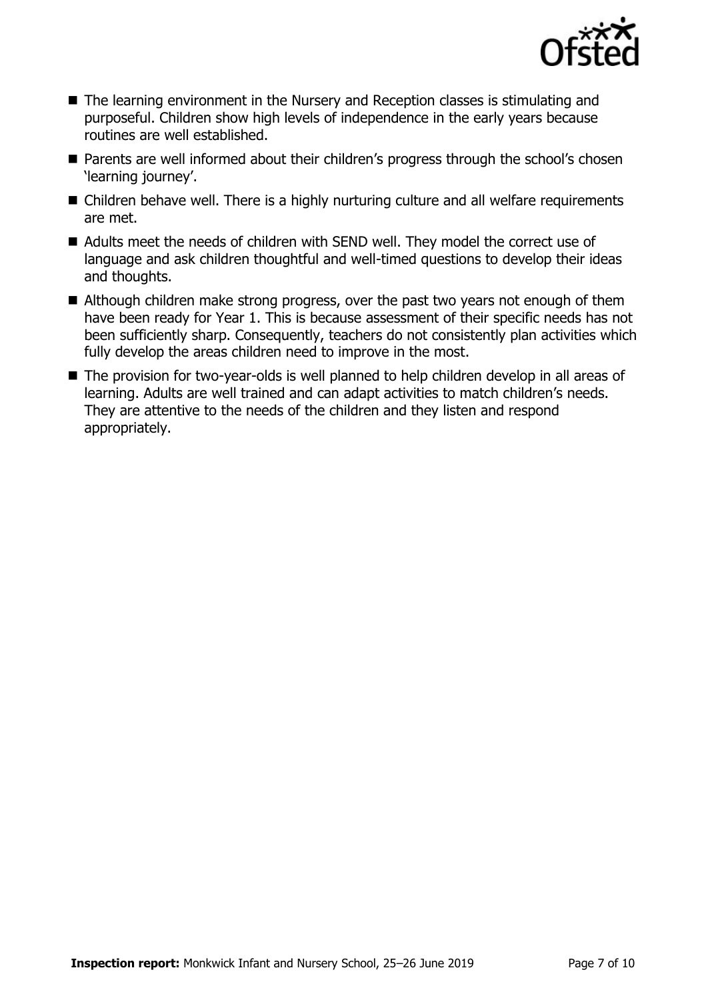

- The learning environment in the Nursery and Reception classes is stimulating and purposeful. Children show high levels of independence in the early years because routines are well established.
- Parents are well informed about their children's progress through the school's chosen 'learning journey'.
- Children behave well. There is a highly nurturing culture and all welfare requirements are met.
- Adults meet the needs of children with SEND well. They model the correct use of language and ask children thoughtful and well-timed questions to develop their ideas and thoughts.
- Although children make strong progress, over the past two years not enough of them have been ready for Year 1. This is because assessment of their specific needs has not been sufficiently sharp. Consequently, teachers do not consistently plan activities which fully develop the areas children need to improve in the most.
- The provision for two-year-olds is well planned to help children develop in all areas of learning. Adults are well trained and can adapt activities to match children's needs. They are attentive to the needs of the children and they listen and respond appropriately.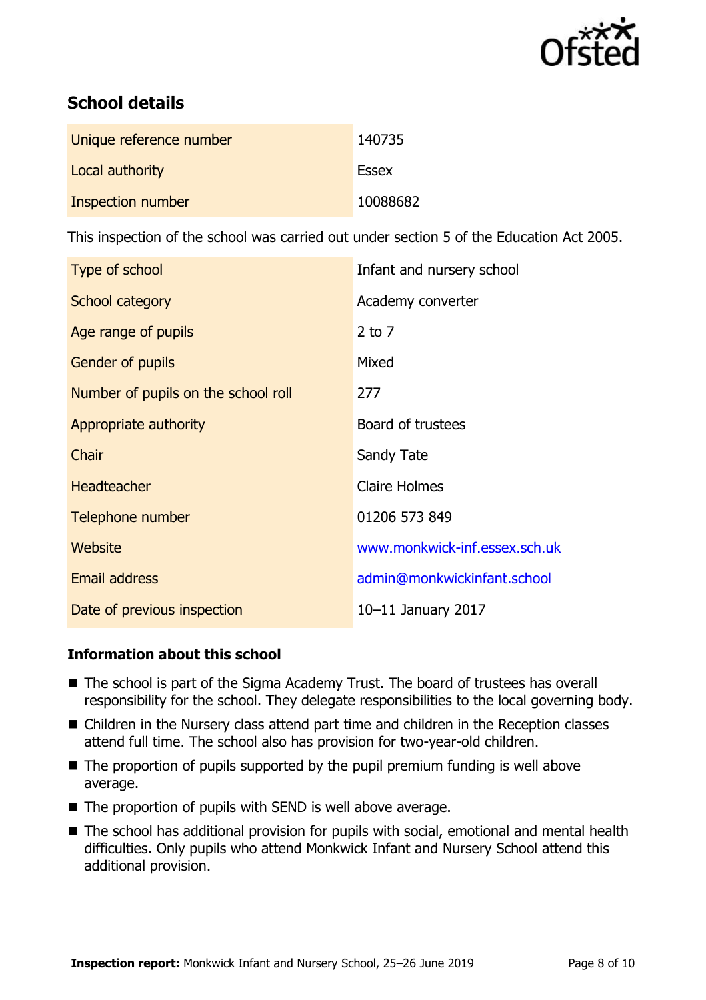

# **School details**

| Unique reference number | 140735       |
|-------------------------|--------------|
| Local authority         | <b>Essex</b> |
| Inspection number       | 10088682     |

This inspection of the school was carried out under section 5 of the Education Act 2005.

| Type of school                      | Infant and nursery school     |
|-------------------------------------|-------------------------------|
| School category                     | Academy converter             |
| Age range of pupils                 | $2$ to $7$                    |
| <b>Gender of pupils</b>             | Mixed                         |
| Number of pupils on the school roll | 277                           |
| Appropriate authority               | Board of trustees             |
| Chair                               | Sandy Tate                    |
| <b>Headteacher</b>                  | <b>Claire Holmes</b>          |
| Telephone number                    | 01206 573 849                 |
| Website                             | www.monkwick-inf.essex.sch.uk |
| <b>Email address</b>                | admin@monkwickinfant.school   |
| Date of previous inspection         | 10-11 January 2017            |

### **Information about this school**

- The school is part of the Sigma Academy Trust. The board of trustees has overall responsibility for the school. They delegate responsibilities to the local governing body.
- Children in the Nursery class attend part time and children in the Reception classes attend full time. The school also has provision for two-year-old children.
- The proportion of pupils supported by the pupil premium funding is well above average.
- The proportion of pupils with SEND is well above average.
- The school has additional provision for pupils with social, emotional and mental health difficulties. Only pupils who attend Monkwick Infant and Nursery School attend this additional provision.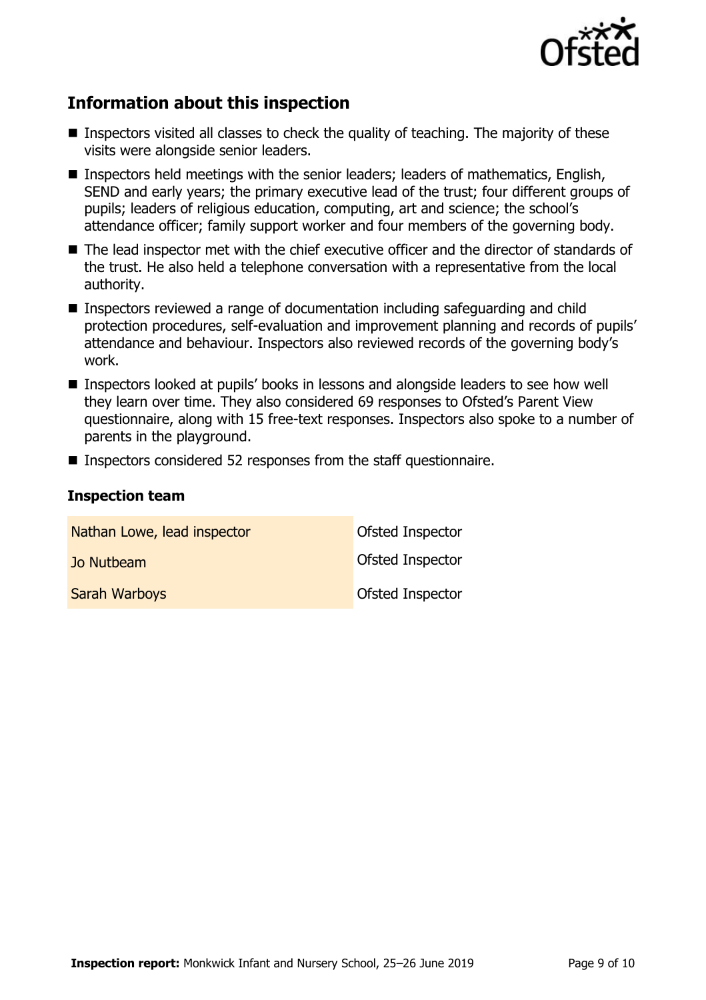

# **Information about this inspection**

- Inspectors visited all classes to check the quality of teaching. The majority of these visits were alongside senior leaders.
- Inspectors held meetings with the senior leaders; leaders of mathematics, English, SEND and early years; the primary executive lead of the trust; four different groups of pupils; leaders of religious education, computing, art and science; the school's attendance officer; family support worker and four members of the governing body.
- The lead inspector met with the chief executive officer and the director of standards of the trust. He also held a telephone conversation with a representative from the local authority.
- Inspectors reviewed a range of documentation including safeguarding and child protection procedures, self-evaluation and improvement planning and records of pupils' attendance and behaviour. Inspectors also reviewed records of the governing body's work.
- Inspectors looked at pupils' books in lessons and alongside leaders to see how well they learn over time. They also considered 69 responses to Ofsted's Parent View questionnaire, along with 15 free-text responses. Inspectors also spoke to a number of parents in the playground.
- Inspectors considered 52 responses from the staff questionnaire.

#### **Inspection team**

| Nathan Lowe, lead inspector | Ofsted Inspector |
|-----------------------------|------------------|
| Jo Nutbeam                  | Ofsted Inspector |
| <b>Sarah Warboys</b>        | Ofsted Inspector |